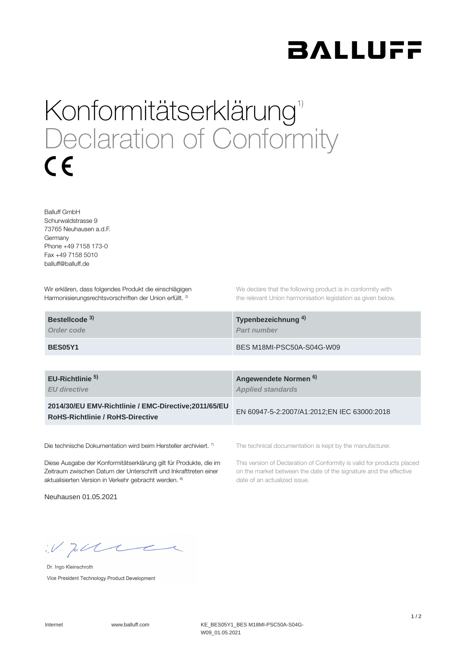

## Konformitätserklärung<sup>1)</sup> Declaration of Conformity  $\epsilon$

Balluff GmbH Schurwaldstrasse 9 73765 Neuhausen a.d.F. Germany Phone +49 7158 173-0 Fax +49 7158 5010 balluff@balluff.de

Wir erklären, dass folgendes Produkt die einschlägigen Harmonisierungsrechtsvorschriften der Union erfüllt. <sup>2)</sup>

We declare that the following product is in conformity with the relevant Union harmonisation legislation as given below.

| Bestellcode <sup>3)</sup> | Typenbezeichnung <sup>4)</sup> |
|---------------------------|--------------------------------|
| Order code                | <b>Part number</b>             |
| BES05Y1                   | BES M18MI-PSC50A-S04G-W09      |

**EU-Richtlinie** 

*EU directive*

**2014/30/EU EMV-Richtlinie / EMC-Directive;2011/65/EU RoHS-Richtlinie / RoHS-Directive**

Die technische Dokumentation wird beim Hersteller archiviert. 7)

Diese Ausgabe der Konformitätserklärung gilt für Produkte, die im Zeitraum zwischen Datum der Unterschrift und Inkrafttreten einer aktualisierten Version in Verkehr gebracht werden. 8)

Neuhausen 01.05.2021

**Angewendete Normen 5) 6)***Applied standards*

EN 60947-5-2:2007/A1:2012;EN IEC 63000:2018

The technical documentation is kept by the manufacturer.

This version of Declaration of Conformity is valid for products placed on the market between the date of the signature and the effective date of an actualized issue.

 $W.$  Jobble

Dr. Ingo Kleinschroth Vice President Technology Product Development